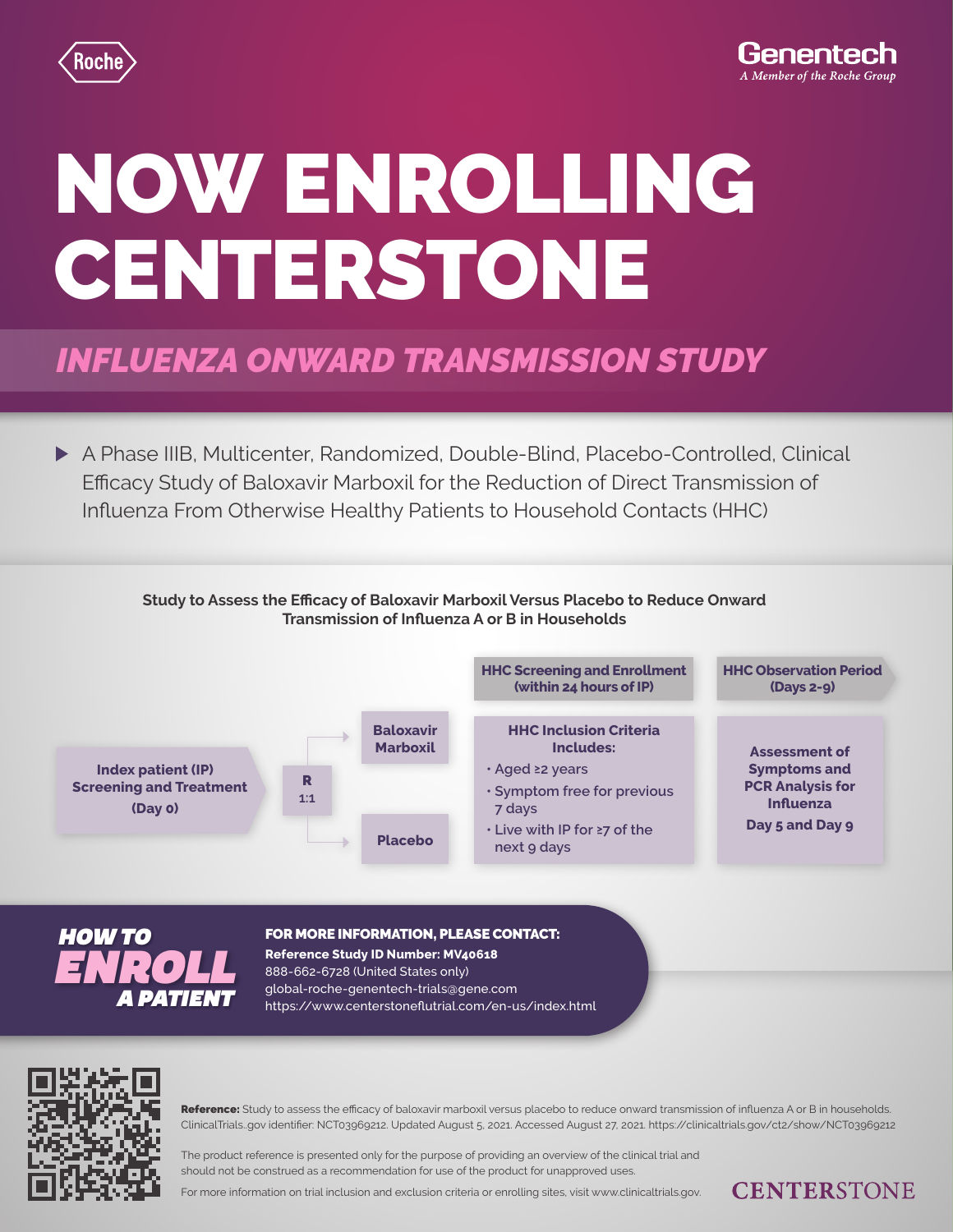

**CENTERSTONE** 

# NOW ENROLLING CENTERSTONE

## *INFLUENZA ONWARD TRANSMISSION STUDY*

A Phase IIIB, Multicenter, Randomized, Double-Blind, Placebo-Controlled, Clinical Efficacy Study of Baloxavir Marboxil for the Reduction of Direct Transmission of Influenza From Otherwise Healthy Patients to Household Contacts (HHC)





## FOR MORE INFORMATION, PLEASE CONTACT:

## **Reference Study ID Number: MV40618** 888-662-6728 (United States only) global-roche-genentech-trials@gene.com *A PATIENT* https://www.centerstoneflutrial.com/en-us/index.html



Reference: Study to assess the efficacy of baloxavir marboxil versus placebo to reduce onward transmission of influenza A or B in households. ClinicalTrials..gov identifier: NCT03969212. Updated August 5, 2021. Accessed August 27, 2021. https://clinicaltrials.gov/ct2/show/NCT03969212

The product reference is presented only for the purpose of providing an overview of the clinical trial and should not be construed as a recommendation for use of the product for unapproved uses.

For more information on trial inclusion and exclusion criteria or enrolling sites, visit www.clinicaltrials.gov.